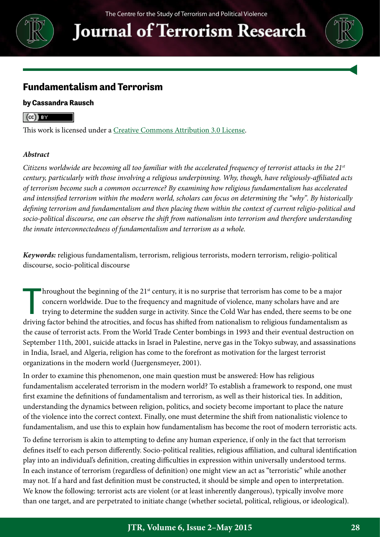

**Journal of Terrorism Research** 



### **Fundamentalism and Terrorism**

### **by Cassandra Rausch**

### $\left(\mathrm{cc}\right)$  BY

This work is licensed under a [Creative Commons Attribution 3.0 License.](http://creativecommons.org/licenses/by/3.0/)

#### *Abstract*

*Citizens worldwide are becoming all too familiar with the accelerated frequency of terrorist attacks in the 21st century, particularly with those involving a religious underpinning. Why, though, have religiously-affiliated acts of terrorism become such a common occurrence? By examining how religious fundamentalism has accelerated and intensified terrorism within the modern world, scholars can focus on determining the "why". By historically defining terrorism and fundamentalism and then placing them within the context of current religio-political and socio-political discourse, one can observe the shift from nationalism into terrorism and therefore understanding the innate interconnectedness of fundamentalism and terrorism as a whole.*

*Keywords:* religious fundamentalism, terrorism, religious terrorists, modern terrorism, religio-political discourse, socio-political discourse

 $\prod$ hroughout the beginning of the  $21<sup>st</sup>$  century, it is no surprise that terrorism has come to be a major concern worldwide. Due to the frequency and magnitude of violence, many scholars have and are trying to determine the sudden surge in activity. Since the Cold War has ended, there seems to be one driving factor behind the atrocities, and focus has shifted from nationalism to religious fundamentalism as the cause of terrorist acts. From the World Trade Center bombings in 1993 and their eventual destruction on September 11th, 2001, suicide attacks in Israel in Palestine, nerve gas in the Tokyo subway, and assassinations in India, Israel, and Algeria, religion has come to the forefront as motivation for the largest terrorist organizations in the modern world (Juergensmeyer, 2001).

In order to examine this phenomenon, one main question must be answered: How has religious fundamentalism accelerated terrorism in the modern world? To establish a framework to respond, one must first examine the definitions of fundamentalism and terrorism, as well as their historical ties. In addition, understanding the dynamics between religion, politics, and society become important to place the nature of the violence into the correct context. Finally, one must determine the shift from nationalistic violence to fundamentalism, and use this to explain how fundamentalism has become the root of modern terroristic acts.

To define terrorism is akin to attempting to define any human experience, if only in the fact that terrorism defines itself to each person differently. Socio-political realities, religious affiliation, and cultural identification play into an individual's definition, creating difficulties in expression within universally understood terms. In each instance of terrorism (regardless of definition) one might view an act as "terroristic" while another may not. If a hard and fast definition must be constructed, it should be simple and open to interpretation. We know the following: terrorist acts are violent (or at least inherently dangerous), typically involve more than one target, and are perpetrated to initiate change (whether societal, political, religious, or ideological).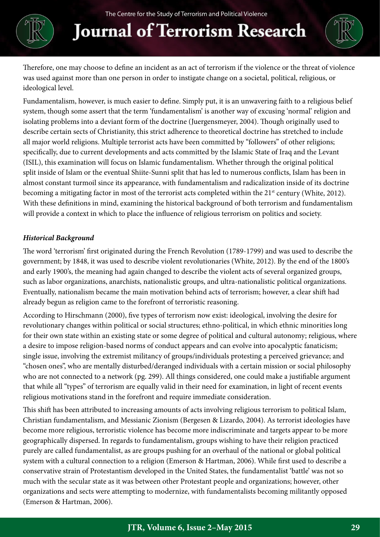# **Journal of Terrorism Research**



Therefore, one may choose to define an incident as an act of terrorism if the violence or the threat of violence was used against more than one person in order to instigate change on a societal, political, religious, or ideological level.

Fundamentalism, however, is much easier to define. Simply put, it is an unwavering faith to a religious belief system, though some assert that the term 'fundamentalism' is another way of excusing 'normal' religion and isolating problems into a deviant form of the doctrine (Juergensmeyer, 2004). Though originally used to describe certain sects of Christianity, this strict adherence to theoretical doctrine has stretched to include all major world religions. Multiple terrorist acts have been committed by "followers" of other religions; specifically, due to current developments and acts committed by the Islamic State of Iraq and the Levant (ISIL), this examination will focus on Islamic fundamentalism. Whether through the original political split inside of Islam or the eventual Shiite-Sunni split that has led to numerous conflicts, Islam has been in almost constant turmoil since its appearance, with fundamentalism and radicalization inside of its doctrine becoming a mitigating factor in most of the terrorist acts completed within the 21<sup>st</sup> century (White, 2012). With these definitions in mind, examining the historical background of both terrorism and fundamentalism will provide a context in which to place the influence of religious terrorism on politics and society.

### *Historical Background*

The word 'terrorism' first originated during the French Revolution (1789-1799) and was used to describe the government; by 1848, it was used to describe violent revolutionaries (White, 2012). By the end of the 1800's and early 1900's, the meaning had again changed to describe the violent acts of several organized groups, such as labor organizations, anarchists, nationalistic groups, and ultra-nationalistic political organizations. Eventually, nationalism became the main motivation behind acts of terrorism; however, a clear shift had already begun as religion came to the forefront of terroristic reasoning.

According to Hirschmann (2000), five types of terrorism now exist: ideological, involving the desire for revolutionary changes within political or social structures; ethno-political, in which ethnic minorities long for their own state within an existing state or some degree of political and cultural autonomy; religious, where a desire to impose religion-based norms of conduct appears and can evolve into apocalyptic fanaticism; single issue, involving the extremist militancy of groups/individuals protesting a perceived grievance; and "chosen ones", who are mentally disturbed/deranged individuals with a certain mission or social philosophy who are not connected to a network (pg. 299). All things considered, one could make a justifiable argument that while all "types" of terrorism are equally valid in their need for examination, in light of recent events religious motivations stand in the forefront and require immediate consideration.

This shift has been attributed to increasing amounts of acts involving religious terrorism to political Islam, Christian fundamentalism, and Messianic Zionism (Bergesen & Lizardo, 2004). As terrorist ideologies have become more religious, terroristic violence has become more indiscriminate and targets appear to be more geographically dispersed. In regards to fundamentalism, groups wishing to have their religion practiced purely are called fundamentalist, as are groups pushing for an overhaul of the national or global political system with a cultural connection to a religion (Emerson & Hartman, 2006). While first used to describe a conservative strain of Protestantism developed in the United States, the fundamentalist 'battle' was not so much with the secular state as it was between other Protestant people and organizations; however, other organizations and sects were attempting to modernize, with fundamentalists becoming militantly opposed (Emerson & Hartman, 2006).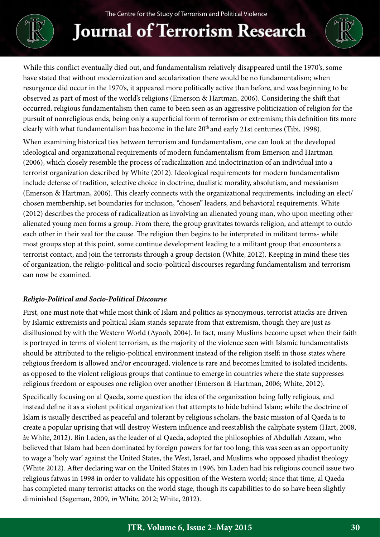

## **Journal of Terrorism Research**



While this conflict eventually died out, and fundamentalism relatively disappeared until the 1970's, some have stated that without modernization and secularization there would be no fundamentalism; when resurgence did occur in the 1970's, it appeared more politically active than before, and was beginning to be observed as part of most of the world's religions (Emerson & Hartman, 2006). Considering the shift that occurred, religious fundamentalism then came to been seen as an aggressive politicization of religion for the pursuit of nonreligious ends, being only a superficial form of terrorism or extremism; this definition fits more clearly with what fundamentalism has become in the late 20th and early 21st centuries (Tibi, 1998).

When examining historical ties between terrorism and fundamentalism, one can look at the developed ideological and organizational requirements of modern fundamentalism from Emerson and Hartman (2006), which closely resemble the process of radicalization and indoctrination of an individual into a terrorist organization described by White (2012). Ideological requirements for modern fundamentalism include defense of tradition, selective choice in doctrine, dualistic morality, absolutism, and messianism (Emerson & Hartman, 2006). This clearly connects with the organizational requirements, including an elect/ chosen membership, set boundaries for inclusion, "chosen" leaders, and behavioral requirements. White (2012) describes the process of radicalization as involving an alienated young man, who upon meeting other alienated young men forms a group. From there, the group gravitates towards religion, and attempt to outdo each other in their zeal for the cause. The religion then begins to be interpreted in militant terms- while most groups stop at this point, some continue development leading to a militant group that encounters a terrorist contact, and join the terrorists through a group decision (White, 2012). Keeping in mind these ties of organization, the religio-political and socio-political discourses regarding fundamentalism and terrorism can now be examined.

### *Religio-Political and Socio-Political Discourse*

First, one must note that while most think of Islam and politics as synonymous, terrorist attacks are driven by Islamic extremists and political Islam stands separate from that extremism, though they are just as disillusioned by with the Western World (Ayoob, 2004). In fact, many Muslims become upset when their faith is portrayed in terms of violent terrorism, as the majority of the violence seen with Islamic fundamentalists should be attributed to the religio-political environment instead of the religion itself; in those states where religious freedom is allowed and/or encouraged, violence is rare and becomes limited to isolated incidents, as opposed to the violent religious groups that continue to emerge in countries where the state suppresses religious freedom or espouses one religion over another (Emerson & Hartman, 2006; White, 2012).

Specifically focusing on al Qaeda, some question the idea of the organization being fully religious, and instead define it as a violent political organization that attempts to hide behind Islam; while the doctrine of Islam is usually described as peaceful and tolerant by religious scholars, the basic mission of al Qaeda is to create a popular uprising that will destroy Western influence and reestablish the caliphate system (Hart, 2008, *in* White, 2012). Bin Laden, as the leader of al Qaeda, adopted the philosophies of Abdullah Azzam, who believed that Islam had been dominated by foreign powers for far too long; this was seen as an opportunity to wage a 'holy war' against the United States, the West, Israel, and Muslims who opposed jihadist theology (White 2012). After declaring war on the United States in 1996, bin Laden had his religious council issue two religious fatwas in 1998 in order to validate his opposition of the Western world; since that time, al Qaeda has completed many terrorist attacks on the world stage, though its capabilities to do so have been slightly diminished (Sageman, 2009, *in* White, 2012; White, 2012).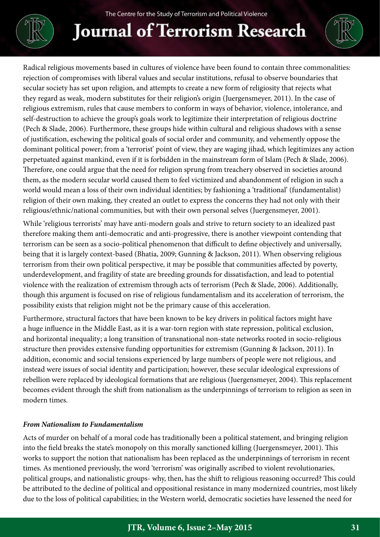

# **Journal of Terrorism Research**

Radical religious movements based in cultures of violence have been found to contain three commonalities: rejection of compromises with liberal values and secular institutions, refusal to observe boundaries that secular society has set upon religion, and attempts to create a new form of religiosity that rejects what they regard as weak, modern substitutes for their religion's origin (Juergensmeyer, 2011). In the case of religious extremism, rules that cause members to conform in ways of behavior, violence, intolerance, and self-destruction to achieve the group's goals work to legitimize their interpretation of religious doctrine (Pech & Slade, 2006). Furthermore, these groups hide within cultural and religious shadows with a sense of justification, eschewing the political goals of social order and community, and vehemently oppose the dominant political power; from a 'terrorist' point of view, they are waging jihad, which legitimizes any action perpetuated against mankind, even if it is forbidden in the mainstream form of Islam (Pech & Slade, 2006). Therefore, one could argue that the need for religion sprung from treachery observed in societies around them, as the modern secular world caused them to feel victimized and abandonment of religion in such a world would mean a loss of their own individual identities; by fashioning a 'traditional' (fundamentalist) religion of their own making, they created an outlet to express the concerns they had not only with their religious/ethnic/national communities, but with their own personal selves (Juergensmeyer, 2001).

While 'religious terrorists' may have anti-modern goals and strive to return society to an idealized past therefore making them anti-democratic and anti-progressive, there is another viewpoint contending that terrorism can be seen as a socio-political phenomenon that difficult to define objectively and universally, being that it is largely context-based (Bhatia, 2009; Gunning & Jackson, 2011). When observing religious terrorism from their own political perspective, it may be possible that communities affected by poverty, underdevelopment, and fragility of state are breeding grounds for dissatisfaction, and lead to potential violence with the realization of extremism through acts of terrorism (Pech & Slade, 2006). Additionally, though this argument is focused on rise of religious fundamentalism and its acceleration of terrorism, the possibility exists that religion might not be the primary cause of this acceleration.

Furthermore, structural factors that have been known to be key drivers in political factors might have a huge influence in the Middle East, as it is a war-torn region with state repression, political exclusion, and horizontal inequality; a long transition of transnational non-state networks rooted in socio-religious structure then provides extensive funding opportunities for extremism (Gunning & Jackson, 2011). In addition, economic and social tensions experienced by large numbers of people were not religious, and instead were issues of social identity and participation; however, these secular ideological expressions of rebellion were replaced by ideological formations that are religious (Juergensmeyer, 2004). This replacement becomes evident through the shift from nationalism as the underpinnings of terrorism to religion as seen in modern times.

### *From Nationalism to Fundamentalism*

Acts of murder on behalf of a moral code has traditionally been a political statement, and bringing religion into the field breaks the state's monopoly on this morally sanctioned killing (Juergensmeyer, 2001). This works to support the notion that nationalism has been replaced as the underpinnings of terrorism in recent times. As mentioned previously, the word 'terrorism' was originally ascribed to violent revolutionaries, political groups, and nationalistic groups- why, then, has the shift to religious reasoning occurred? This could be attributed to the decline of political and oppositional resistance in many modernized countries, most likely due to the loss of political capabilities; in the Western world, democratic societies have lessened the need for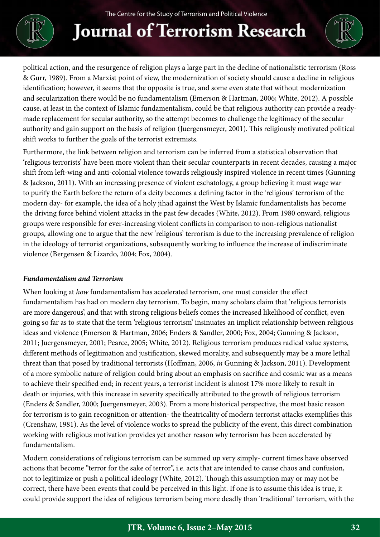

## **Journal of Terrorism Research**



political action, and the resurgence of religion plays a large part in the decline of nationalistic terrorism (Ross & Gurr, 1989). From a Marxist point of view, the modernization of society should cause a decline in religious identification; however, it seems that the opposite is true, and some even state that without modernization and secularization there would be no fundamentalism (Emerson & Hartman, 2006; White, 2012). A possible cause, at least in the context of Islamic fundamentalism, could be that religious authority can provide a readymade replacement for secular authority, so the attempt becomes to challenge the legitimacy of the secular authority and gain support on the basis of religion (Juergensmeyer, 2001). This religiously motivated political shift works to further the goals of the terrorist extremists.

Furthermore, the link between religion and terrorism can be inferred from a statistical observation that 'religious terrorists' have been more violent than their secular counterparts in recent decades, causing a major shift from left-wing and anti-colonial violence towards religiously inspired violence in recent times (Gunning & Jackson, 2011). With an increasing presence of violent eschatology, a group believing it must wage war to purify the Earth before the return of a deity becomes a defining factor in the 'religious' terrorism of the modern day- for example, the idea of a holy jihad against the West by Islamic fundamentalists has become the driving force behind violent attacks in the past few decades (White, 2012). From 1980 onward, religious groups were responsible for ever-increasing violent conflicts in comparison to non-religious nationalist groups, allowing one to argue that the new 'religious' terrorism is due to the increasing prevalence of religion in the ideology of terrorist organizations, subsequently working to influence the increase of indiscriminate violence (Bergensen & Lizardo, 2004; Fox, 2004).

### *Fundamentalism and Terrorism*

When looking at *how* fundamentalism has accelerated terrorism, one must consider the effect fundamentalism has had on modern day terrorism. To begin, many scholars claim that 'religious terrorists are more dangerous', and that with strong religious beliefs comes the increased likelihood of conflict, even going so far as to state that the term 'religious terrorism' insinuates an implicit relationship between religious ideas and violence (Emerson & Hartman, 2006; Enders & Sandler, 2000; Fox, 2004; Gunning & Jackson, 2011; Juergensmeyer, 2001; Pearce, 2005; White, 2012). Religious terrorism produces radical value systems, different methods of legitimation and justification, skewed morality, and subsequently may be a more lethal threat than that posed by traditional terrorists (Hoffman, 2006, *in* Gunning & Jackson, 2011). Development of a more symbolic nature of religion could bring about an emphasis on sacrifice and cosmic war as a means to achieve their specified end; in recent years, a terrorist incident is almost 17% more likely to result in death or injuries, with this increase in severity specifically attributed to the growth of religious terrorism (Enders & Sandler, 2000; Juergensmeyer, 2003). From a more historical perspective, the most basic reason for terrorism is to gain recognition or attention- the theatricality of modern terrorist attacks exemplifies this (Crenshaw, 1981). As the level of violence works to spread the publicity of the event, this direct combination working with religious motivation provides yet another reason why terrorism has been accelerated by fundamentalism.

Modern considerations of religious terrorism can be summed up very simply- current times have observed actions that become "terror for the sake of terror", i.e. acts that are intended to cause chaos and confusion, not to legitimize or push a political ideology (White, 2012). Though this assumption may or may not be correct, there have been events that could be perceived in this light. If one is to assume this idea is true, it could provide support the idea of religious terrorism being more deadly than 'traditional' terrorism, with the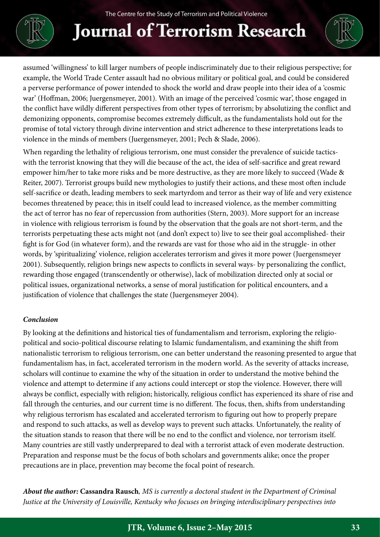

## **Journal of Terrorism Research**



assumed 'willingness' to kill larger numbers of people indiscriminately due to their religious perspective; for example, the World Trade Center assault had no obvious military or political goal, and could be considered a perverse performance of power intended to shock the world and draw people into their idea of a 'cosmic war' (Hoffman, 2006; Juergensmeyer, 2001). With an image of the perceived 'cosmic war', those engaged in the conflict have wildly different perspectives from other types of terrorism; by absolutizing the conflict and demonizing opponents, compromise becomes extremely difficult, as the fundamentalists hold out for the promise of total victory through divine intervention and strict adherence to these interpretations leads to violence in the minds of members (Juergensmeyer, 2001; Pech & Slade, 2006).

When regarding the lethality of religious terrorism, one must consider the prevalence of suicide tacticswith the terrorist knowing that they will die because of the act, the idea of self-sacrifice and great reward empower him/her to take more risks and be more destructive, as they are more likely to succeed (Wade & Reiter, 2007). Terrorist groups build new mythologies to justify their actions, and these most often include self-sacrifice or death, leading members to seek martyrdom and terror as their way of life and very existence becomes threatened by peace; this in itself could lead to increased violence, as the member committing the act of terror has no fear of repercussion from authorities (Stern, 2003). More support for an increase in violence with religious terrorism is found by the observation that the goals are not short-term, and the terrorists perpetuating these acts might not (and don't expect to) live to see their goal accomplished- their fight is for God (in whatever form), and the rewards are vast for those who aid in the struggle- in other words, by 'spiritualizing' violence, religion accelerates terrorism and gives it more power (Juergensmeyer 2001). Subsequently, religion brings new aspects to conflicts in several ways- by personalizing the conflict, rewarding those engaged (transcendently or otherwise), lack of mobilization directed only at social or political issues, organizational networks, a sense of moral justification for political encounters, and a justification of violence that challenges the state (Juergensmeyer 2004).

### *Conclusion*

By looking at the definitions and historical ties of fundamentalism and terrorism, exploring the religiopolitical and socio-political discourse relating to Islamic fundamentalism, and examining the shift from nationalistic terrorism to religious terrorism, one can better understand the reasoning presented to argue that fundamentalism has, in fact, accelerated terrorism in the modern world. As the severity of attacks increase, scholars will continue to examine the why of the situation in order to understand the motive behind the violence and attempt to determine if any actions could intercept or stop the violence. However, there will always be conflict, especially with religion; historically, religious conflict has experienced its share of rise and fall through the centuries, and our current time is no different. The focus, then, shifts from understanding why religious terrorism has escalated and accelerated terrorism to figuring out how to properly prepare and respond to such attacks, as well as develop ways to prevent such attacks. Unfortunately, the reality of the situation stands to reason that there will be no end to the conflict and violence, nor terrorism itself. Many countries are still vastly underprepared to deal with a terrorist attack of even moderate destruction. Preparation and response must be the focus of both scholars and governments alike; once the proper precautions are in place, prevention may become the focal point of research.

*About the author:* **Cassandra Rausch***, MS is currently a doctoral student in the Department of Criminal Justice at the University of Louisville, Kentucky who focuses on bringing interdisciplinary perspectives into*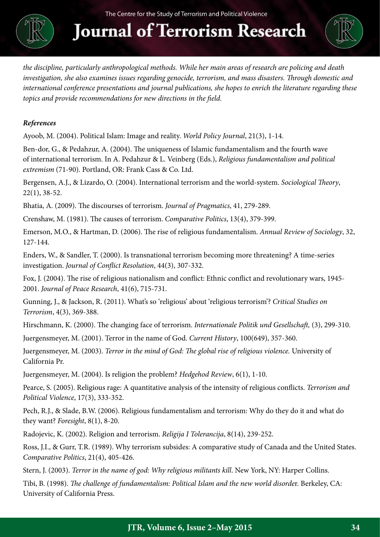

**Journal of Terrorism Research** 



*the discipline, particularly anthropological methods. While her main areas of research are policing and death investigation, she also examines issues regarding genocide, terrorism, and mass disasters. Through domestic and international conference presentations and journal publications, she hopes to enrich the literature regarding these topics and provide recommendations for new directions in the field.*

### *References*

Ayoob, M. (2004). Political Islam: Image and reality. *World Policy Journal*, 21(3), 1-14.

Ben-dor, G., & Pedahzur, A. (2004). The uniqueness of Islamic fundamentalism and the fourth wave of international terrorism. In A. Pedahzur & L. Veinberg (Eds.), *Religious fundamentalism and political extremism* (71-90). Portland, OR: Frank Cass & Co. Ltd.

Bergensen, A.J., & Lizardo, O. (2004). International terrorism and the world-system. *Sociological Theory*, 22(1), 38-52.

Bhatia, A. (2009). The discourses of terrorism. *Journal of Pragmatics*, 41, 279-289.

Crenshaw, M. (1981). The causes of terrorism. *Comparative Politics*, 13(4), 379-399.

Emerson, M.O., & Hartman, D. (2006). The rise of religious fundamentalism. *Annual Review of Sociology*, 32, 127-144.

Enders, W., & Sandler, T. (2000). Is transnational terrorism becoming more threatening? A time-series investigation. *Journal of Conflict Resolution*, 44(3), 307-332.

Fox, J. (2004). The rise of religious nationalism and conflict: Ethnic conflict and revolutionary wars, 1945- 2001. *Journal of Peace Research*, 41(6), 715-731.

Gunning, J., & Jackson, R. (2011). What's so 'religious' about 'religious terrorism'? *Critical Studies on Terrorism*, 4(3), 369-388.

Hirschmann, K. (2000). The changing face of terrorism. *Internationale Politik und Gesellschaft,* (3), 299-310.

Juergensmeyer, M. (2001). Terror in the name of God. *Current History*, 100(649), 357-360.

Juergensmeyer, M. (2003). *Terror in the mind of God: The global rise of religious violence.* University of California Pr.

Juergensmeyer, M. (2004). Is religion the problem? *Hedgehod Review*, 6(1), 1-10.

Pearce, S. (2005). Religious rage: A quantitative analysis of the intensity of religious conflicts. *Terrorism and Political Violence*, 17(3), 333-352.

Pech, R.J., & Slade, B.W. (2006). Religious fundamentalism and terrorism: Why do they do it and what do they want? *Foresight*, 8(1), 8-20.

Radojevic, K. (2002). Religion and terrorism. *Religija I Tolerancija*, 8(14), 239-252.

Ross, J.I., & Gurr, T.R. (1989). Why terrorism subsides: A comparative study of Canada and the United States. *Comparative Politics*, 21(4), 405-426.

Stern, J. (2003). *Terror in the name of god: Why religious militants kill*. New York, NY: Harper Collins.

Tibi, B. (1998). *The challenge of fundamentalism: Political Islam and the new world disorde*r. Berkeley, CA: University of California Press.